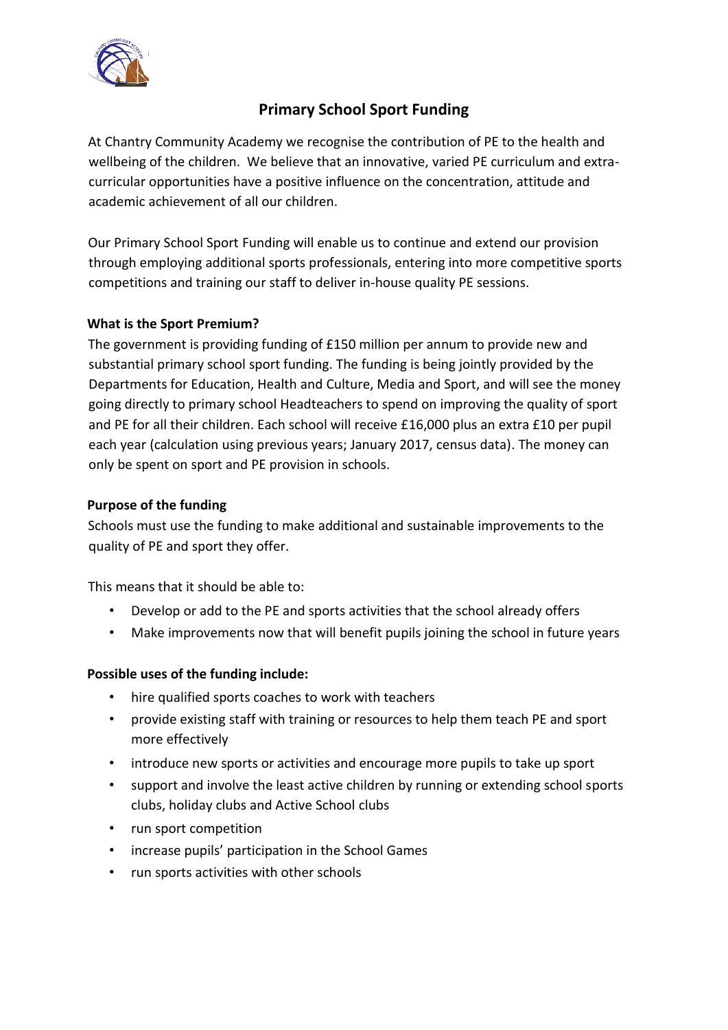

# **Primary School Sport Funding**

At Chantry Community Academy we recognise the contribution of PE to the health and wellbeing of the children. We believe that an innovative, varied PE curriculum and extracurricular opportunities have a positive influence on the concentration, attitude and academic achievement of all our children.

Our Primary School Sport Funding will enable us to continue and extend our provision through employing additional sports professionals, entering into more competitive sports competitions and training our staff to deliver in-house quality PE sessions.

### **What is the Sport Premium?**

The government is providing funding of £150 million per annum to provide new and substantial primary school sport funding. The funding is being jointly provided by the Departments for Education, Health and Culture, Media and Sport, and will see the money going directly to primary school Headteachers to spend on improving the quality of sport and PE for all their children. Each school will receive £16,000 plus an extra £10 per pupil each year (calculation using previous years; January 2017, census data). The money can only be spent on sport and PE provision in schools.

### **Purpose of the funding**

Schools must use the funding to make additional and sustainable improvements to the quality of PE and sport they offer.

This means that it should be able to:

- Develop or add to the PE and sports activities that the school already offers
- Make improvements now that will benefit pupils joining the school in future years

#### **Possible uses of the funding include:**

- hire qualified sports coaches to work with teachers
- provide existing staff with training or resources to help them teach PE and sport more effectively
- introduce new sports or activities and encourage more pupils to take up sport
- support and involve the least active children by running or extending school sports clubs, holiday clubs and Active School clubs
- run sport competition
- increase pupils' participation in the School Games
- run sports activities with other schools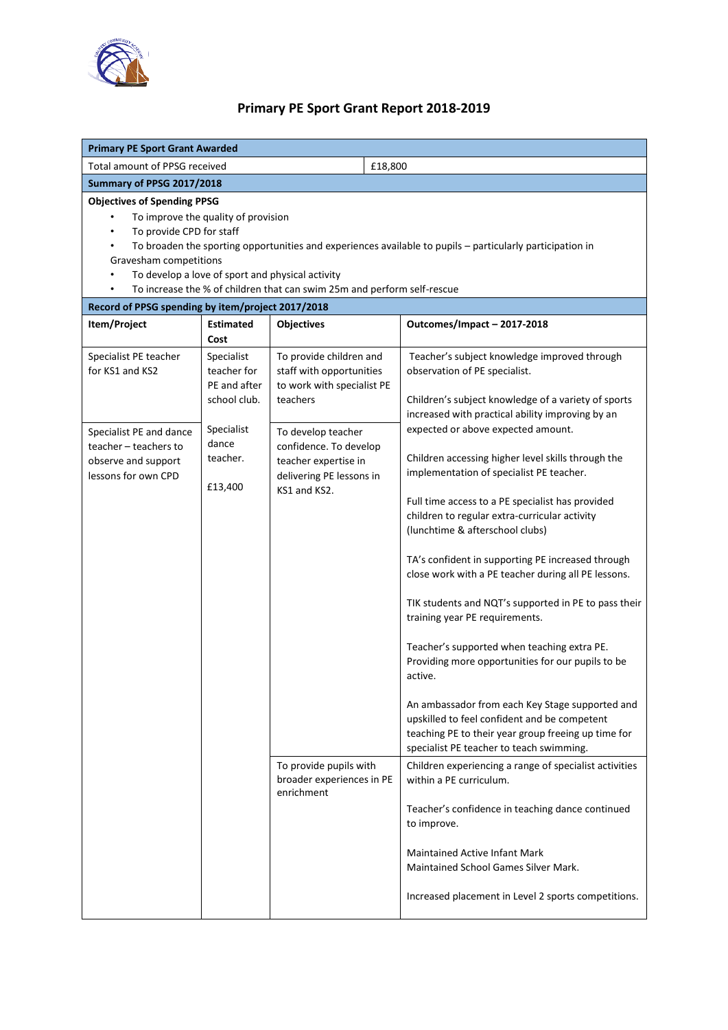

## **Primary PE Sport Grant Report 2018-2019**

| <b>Primary PE Sport Grant Awarded</b>                                                                                                                                                                                                                                                                                                                                                                              |                                                           |                                                                                                                  |                                                                                                                                                                                                                                                                                                                                                                                                                                                                                                                                                                                                                                                                                                                                                             |  |  |  |  |  |
|--------------------------------------------------------------------------------------------------------------------------------------------------------------------------------------------------------------------------------------------------------------------------------------------------------------------------------------------------------------------------------------------------------------------|-----------------------------------------------------------|------------------------------------------------------------------------------------------------------------------|-------------------------------------------------------------------------------------------------------------------------------------------------------------------------------------------------------------------------------------------------------------------------------------------------------------------------------------------------------------------------------------------------------------------------------------------------------------------------------------------------------------------------------------------------------------------------------------------------------------------------------------------------------------------------------------------------------------------------------------------------------------|--|--|--|--|--|
| <b>Total amount of PPSG received</b>                                                                                                                                                                                                                                                                                                                                                                               |                                                           | £18,800                                                                                                          |                                                                                                                                                                                                                                                                                                                                                                                                                                                                                                                                                                                                                                                                                                                                                             |  |  |  |  |  |
| Summary of PPSG 2017/2018                                                                                                                                                                                                                                                                                                                                                                                          |                                                           |                                                                                                                  |                                                                                                                                                                                                                                                                                                                                                                                                                                                                                                                                                                                                                                                                                                                                                             |  |  |  |  |  |
| <b>Objectives of Spending PPSG</b><br>To improve the quality of provision<br>To provide CPD for staff<br>$\bullet$<br>To broaden the sporting opportunities and experiences available to pupils - particularly participation in<br>$\bullet$<br>Gravesham competitions<br>To develop a love of sport and physical activity<br>To increase the % of children that can swim 25m and perform self-rescue<br>$\bullet$ |                                                           |                                                                                                                  |                                                                                                                                                                                                                                                                                                                                                                                                                                                                                                                                                                                                                                                                                                                                                             |  |  |  |  |  |
| Record of PPSG spending by item/project 2017/2018                                                                                                                                                                                                                                                                                                                                                                  |                                                           |                                                                                                                  |                                                                                                                                                                                                                                                                                                                                                                                                                                                                                                                                                                                                                                                                                                                                                             |  |  |  |  |  |
| Item/Project                                                                                                                                                                                                                                                                                                                                                                                                       | <b>Estimated</b><br>Cost                                  | <b>Objectives</b>                                                                                                | Outcomes/Impact-2017-2018                                                                                                                                                                                                                                                                                                                                                                                                                                                                                                                                                                                                                                                                                                                                   |  |  |  |  |  |
| Specialist PE teacher<br>for KS1 and KS2                                                                                                                                                                                                                                                                                                                                                                           | Specialist<br>teacher for<br>PE and after<br>school club. | To provide children and<br>staff with opportunities<br>to work with specialist PE<br>teachers                    | Teacher's subject knowledge improved through<br>observation of PE specialist.<br>Children's subject knowledge of a variety of sports<br>increased with practical ability improving by an                                                                                                                                                                                                                                                                                                                                                                                                                                                                                                                                                                    |  |  |  |  |  |
| Specialist PE and dance<br>teacher - teachers to<br>observe and support<br>lessons for own CPD                                                                                                                                                                                                                                                                                                                     | Specialist<br>dance<br>teacher.<br>£13,400                | To develop teacher<br>confidence. To develop<br>teacher expertise in<br>delivering PE lessons in<br>KS1 and KS2. | expected or above expected amount.<br>Children accessing higher level skills through the<br>implementation of specialist PE teacher.<br>Full time access to a PE specialist has provided<br>children to regular extra-curricular activity<br>(lunchtime & afterschool clubs)<br>TA's confident in supporting PE increased through<br>close work with a PE teacher during all PE lessons.<br>TIK students and NQT's supported in PE to pass their<br>training year PE requirements.<br>Teacher's supported when teaching extra PE.<br>Providing more opportunities for our pupils to be<br>active.<br>An ambassador from each Key Stage supported and<br>upskilled to feel confident and be competent<br>teaching PE to their year group freeing up time for |  |  |  |  |  |
|                                                                                                                                                                                                                                                                                                                                                                                                                    |                                                           | To provide pupils with<br>broader experiences in PE<br>enrichment                                                | specialist PE teacher to teach swimming.<br>Children experiencing a range of specialist activities<br>within a PE curriculum.<br>Teacher's confidence in teaching dance continued<br>to improve.<br>Maintained Active Infant Mark<br>Maintained School Games Silver Mark.<br>Increased placement in Level 2 sports competitions.                                                                                                                                                                                                                                                                                                                                                                                                                            |  |  |  |  |  |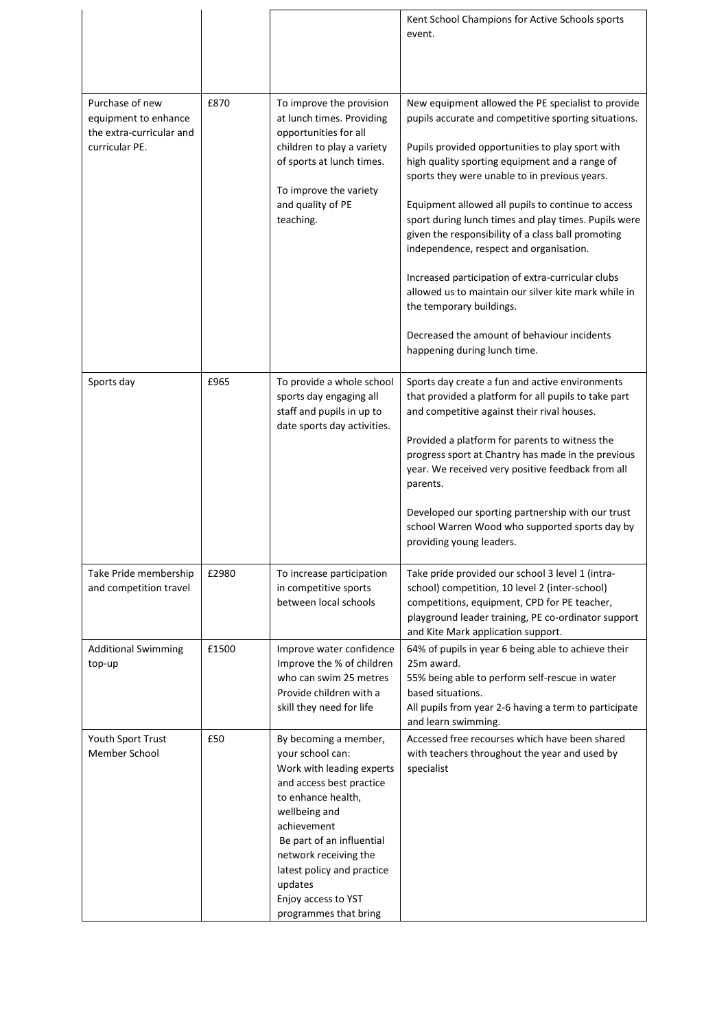|                                                                                       |       |                                                                                                                                                                                                                                                                                                         | Kent School Champions for Active Schools sports<br>event.                                                                                                                                                                                                                                                                                                                                                                                                                                                                                                                                                                                                                                                |
|---------------------------------------------------------------------------------------|-------|---------------------------------------------------------------------------------------------------------------------------------------------------------------------------------------------------------------------------------------------------------------------------------------------------------|----------------------------------------------------------------------------------------------------------------------------------------------------------------------------------------------------------------------------------------------------------------------------------------------------------------------------------------------------------------------------------------------------------------------------------------------------------------------------------------------------------------------------------------------------------------------------------------------------------------------------------------------------------------------------------------------------------|
| Purchase of new<br>equipment to enhance<br>the extra-curricular and<br>curricular PE. | £870  | To improve the provision<br>at lunch times. Providing<br>opportunities for all<br>children to play a variety<br>of sports at lunch times.<br>To improve the variety<br>and quality of PE<br>teaching.                                                                                                   | New equipment allowed the PE specialist to provide<br>pupils accurate and competitive sporting situations.<br>Pupils provided opportunities to play sport with<br>high quality sporting equipment and a range of<br>sports they were unable to in previous years.<br>Equipment allowed all pupils to continue to access<br>sport during lunch times and play times. Pupils were<br>given the responsibility of a class ball promoting<br>independence, respect and organisation.<br>Increased participation of extra-curricular clubs<br>allowed us to maintain our silver kite mark while in<br>the temporary buildings.<br>Decreased the amount of behaviour incidents<br>happening during lunch time. |
| Sports day                                                                            | £965  | To provide a whole school<br>sports day engaging all<br>staff and pupils in up to<br>date sports day activities.                                                                                                                                                                                        | Sports day create a fun and active environments<br>that provided a platform for all pupils to take part<br>and competitive against their rival houses.<br>Provided a platform for parents to witness the<br>progress sport at Chantry has made in the previous<br>year. We received very positive feedback from all<br>parents.<br>Developed our sporting partnership with our trust<br>school Warren Wood who supported sports day by<br>providing young leaders.                                                                                                                                                                                                                                       |
| Take Pride membership<br>and competition travel                                       | £2980 | To increase participation<br>in competitive sports<br>between local schools                                                                                                                                                                                                                             | Take pride provided our school 3 level 1 (intra-<br>school) competition, 10 level 2 (inter-school)<br>competitions, equipment, CPD for PE teacher,<br>playground leader training, PE co-ordinator support<br>and Kite Mark application support.                                                                                                                                                                                                                                                                                                                                                                                                                                                          |
| <b>Additional Swimming</b><br>top-up                                                  | £1500 | Improve water confidence<br>Improve the % of children<br>who can swim 25 metres<br>Provide children with a<br>skill they need for life                                                                                                                                                                  | 64% of pupils in year 6 being able to achieve their<br>25m award.<br>55% being able to perform self-rescue in water<br>based situations.<br>All pupils from year 2-6 having a term to participate<br>and learn swimming.                                                                                                                                                                                                                                                                                                                                                                                                                                                                                 |
| Youth Sport Trust<br>Member School                                                    | £50   | By becoming a member,<br>your school can:<br>Work with leading experts<br>and access best practice<br>to enhance health,<br>wellbeing and<br>achievement<br>Be part of an influential<br>network receiving the<br>latest policy and practice<br>updates<br>Enjoy access to YST<br>programmes that bring | Accessed free recourses which have been shared<br>with teachers throughout the year and used by<br>specialist                                                                                                                                                                                                                                                                                                                                                                                                                                                                                                                                                                                            |